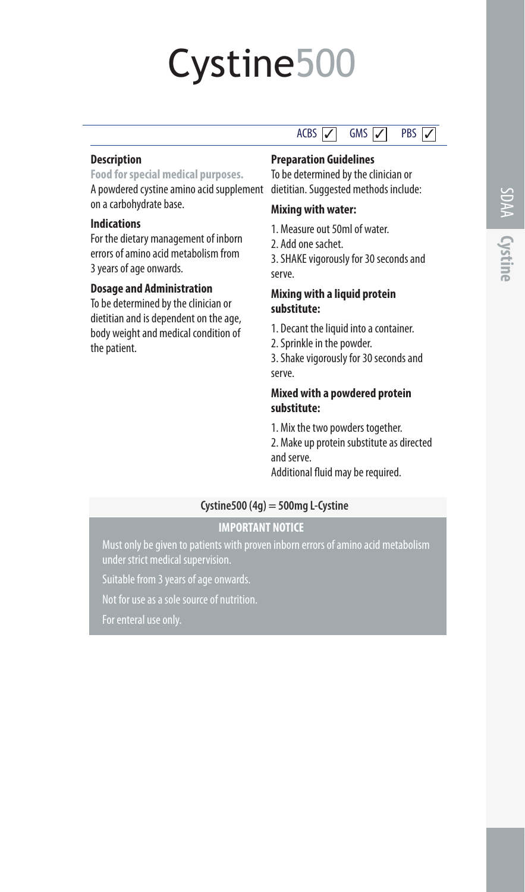# Cystine500

#### **Description**

**Food for special medical purposes.** A powdered cystine amino acid supplement dietitian. Suggested methods include: on a carbohydrate base.

#### **Indications**

For the dietary management of inborn errors of amino acid metabolism from 3 years of age onwards.

#### **Dosage and Administration**

To be determined by the clinician or dietitian and is dependent on the age, body weight and medical condition of the patient.

## **Preparation Guidelines**

To be determined by the clinician or

 $ACBS$   $\overline{Z}$   $\overline{GMS}$   $\overline{Z}$  PBS  $\overline{Z}$ 

### **Mixing with water:**

- 1. Measure out 50ml of water.
- 2. Add one sachet.

3. SHAKE vigorously for 30 seconds and serve.

#### **Mixing with a liquid protein substitute:**

- 1. Decant the liquid into a container.
- 2. Sprinkle in the powder.

3. Shake vigorously for 30 seconds and serve.

#### **Mixed with a powdered protein substitute:**

1. Mix the two powders together.

2. Make up protein substitute as directed and serve.

Additional fluid may be required.

## **Cystine500 (4g) = 500mg L-Cystine**

## **IMPORTANT NOTICE**

under strict medical supervision

Suitable from 3 years of age onwards.

Not for use as a sole source of nutrition.